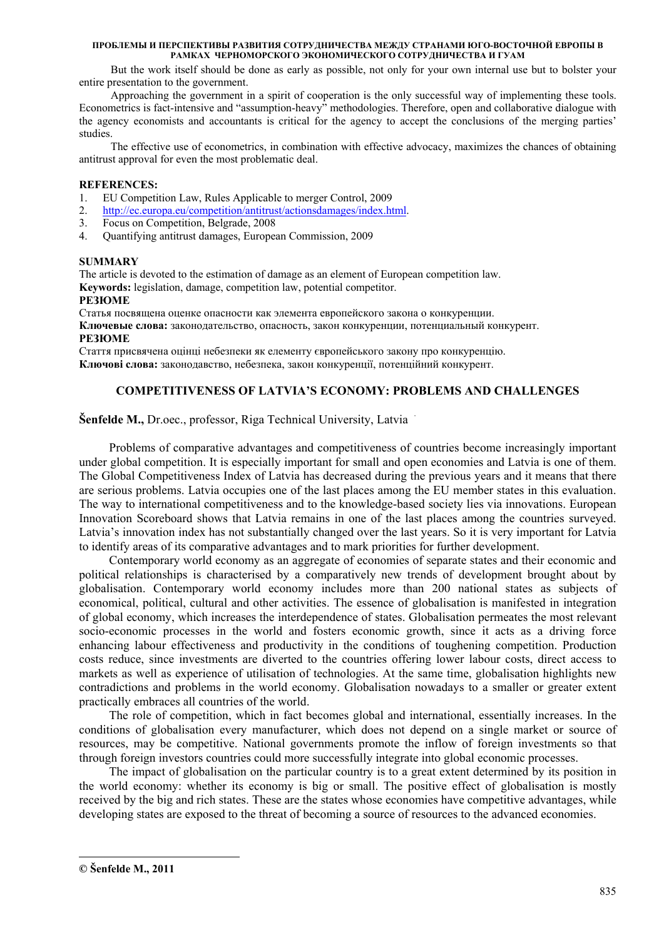But the work itself should be done as early as possible, not only for your own internal use but to bolster your entire presentation to the government.

Approaching the government in a spirit of cooperation is the only successful way of implementing these tools. Econometrics is fact-intensive and "assumption-heavy" methodologies. Therefore, open and collaborative dialogue with the agency economists and accountants is critical for the agency to accept the conclusions of the merging parties' studies.

The effective use of econometrics, in combination with effective advocacy, maximizes the chances of obtaining antitrust approval for even the most problematic deal.

## **REFERENCES:**

- 1. EU Competition Law, Rules Applicable to merger Control, 2009
- 2. http://ec.europa.eu/competition/antitrust/actionsdamages/index.html.
- 3. Focus on Competition, Belgrade, 2008
- 4. Quantifying antitrust damages, European Commission, 2009

## **SUMMARY**

The article is devoted to the estimation of damage as an element of European competition law. **Keywords:** legislation, damage, competition law, potential competitor.

## **РЕЗЮМЕ**

Статья посвящена оценке опасности как элемента европейского закона о конкуренции.

**Ключевые слова:** законодательство, опасность, закон конкуренции, потенциальный конкурент. **РЕЗЮМЕ**

Стаття присвячена оцінці небезпеки як елементу європейського закону про конкуренцію.

# **Ключові слова:** законодавство, небезпека, закон конкуренції, потенційний конкурент.

# **COMPETITIVENESS OF LATVIA'S ECONOMY: PROBLEMS AND CHALLENGES**

# **Šenfelde M., Dr.oec., professor, Riga Technical University, Latvia**

 Problems of comparative advantages and competitiveness of countries become increasingly important under global competition. It is especially important for small and open economies and Latvia is one of them. The Global Competitiveness Index of Latvia has decreased during the previous years and it means that there are serious problems. Latvia occupies one of the last places among the EU member states in this evaluation. The way to international competitiveness and to the knowledge-based society lies via innovations. European Innovation Scoreboard shows that Latvia remains in one of the last places among the countries surveyed. Latvia's innovation index has not substantially changed over the last years. So it is very important for Latvia to identify areas of its comparative advantages and to mark priorities for further development.

Contemporary world economy as an aggregate of economies of separate states and their economic and political relationships is characterised by a comparatively new trends of development brought about by globalisation. Contemporary world economy includes more than 200 national states as subjects of economical, political, cultural and other activities. The essence of globalisation is manifested in integration of global economy, which increases the interdependence of states. Globalisation permeates the most relevant socio-economic processes in the world and fosters economic growth, since it acts as a driving force enhancing labour effectiveness and productivity in the conditions of toughening competition. Production costs reduce, since investments are diverted to the countries offering lower labour costs, direct access to markets as well as experience of utilisation of technologies. At the same time, globalisation highlights new contradictions and problems in the world economy. Globalisation nowadays to a smaller or greater extent practically embraces all countries of the world.

The role of competition, which in fact becomes global and international, essentially increases. In the conditions of globalisation every manufacturer, which does not depend on a single market or source of resources, may be competitive. National governments promote the inflow of foreign investments so that through foreign investors countries could more successfully integrate into global economic processes.

The impact of globalisation on the particular country is to a great extent determined by its position in the world economy: whether its economy is big or small. The positive effect of globalisation is mostly received by the big and rich states. These are the states whose economies have competitive advantages, while developing states are exposed to the threat of becoming a source of resources to the advanced economies.

-

**<sup>©</sup> Šenfelde M., 2011**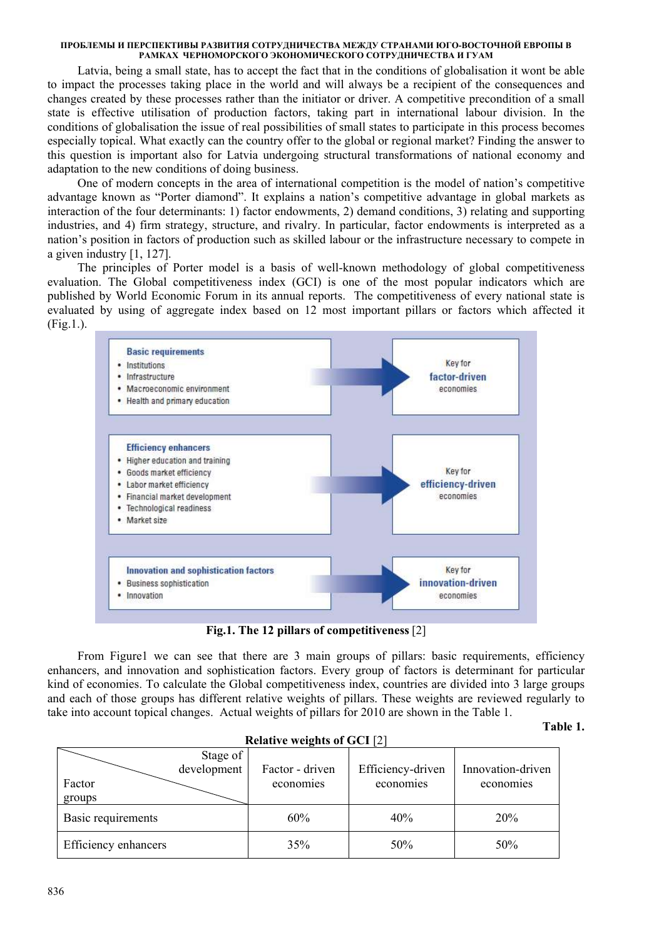Latvia, being a small state, has to accept the fact that in the conditions of globalisation it wont be able to impact the processes taking place in the world and will always be a recipient of the consequences and changes created by these processes rather than the initiator or driver. A competitive precondition of a small state is effective utilisation of production factors, taking part in international labour division. In the conditions of globalisation the issue of real possibilities of small states to participate in this process becomes especially topical. What exactly can the country offer to the global or regional market? Finding the answer to this question is important also for Latvia undergoing structural transformations of national economy and adaptation to the new conditions of doing business.

 One of modern concepts in the area of international competition is the model of nation's competitive advantage known as "Porter diamond". It explains a nation's competitive advantage in global markets as interaction of the four determinants: 1) factor endowments, 2) demand conditions, 3) relating and supporting industries, and 4) firm strategy, structure, and rivalry. In particular, factor endowments is interpreted as a nation's position in factors of production such as skilled labour or the infrastructure necessary to compete in a given industry [1, 127].

 The principles of Porter model is a basis of well-known methodology of global competitiveness evaluation. The Global competitiveness index (GCI) is one of the most popular indicators which are published by World Economic Forum in its annual reports. The competitiveness of every national state is evaluated by using of aggregate index based on 12 most important pillars or factors which affected it (Fig.1.).



**Fig.1. The 12 pillars of competitiveness** [2]

From Figure 1 we can see that there are 3 main groups of pillars: basic requirements, efficiency enhancers, and innovation and sophistication factors. Every group of factors is determinant for particular kind of economies. To calculate the Global competitiveness index, countries are divided into 3 large groups and each of those groups has different relative weights of pillars. These weights are reviewed regularly to take into account topical changes. Actual weights of pillars for 2010 are shown in the Table 1.

## **Table 1.**

| <b>Relative weights of GCI</b> [2] |                 |                   |                   |  |  |  |
|------------------------------------|-----------------|-------------------|-------------------|--|--|--|
| Stage of<br>development            | Factor - driven | Efficiency-driven | Innovation-driven |  |  |  |
| Factor<br>groups                   | economies       | economies         | economies         |  |  |  |
| Basic requirements                 | 60%             | 40%               | 20%               |  |  |  |
| Efficiency enhancers               | 35%             | 50%               | 50%               |  |  |  |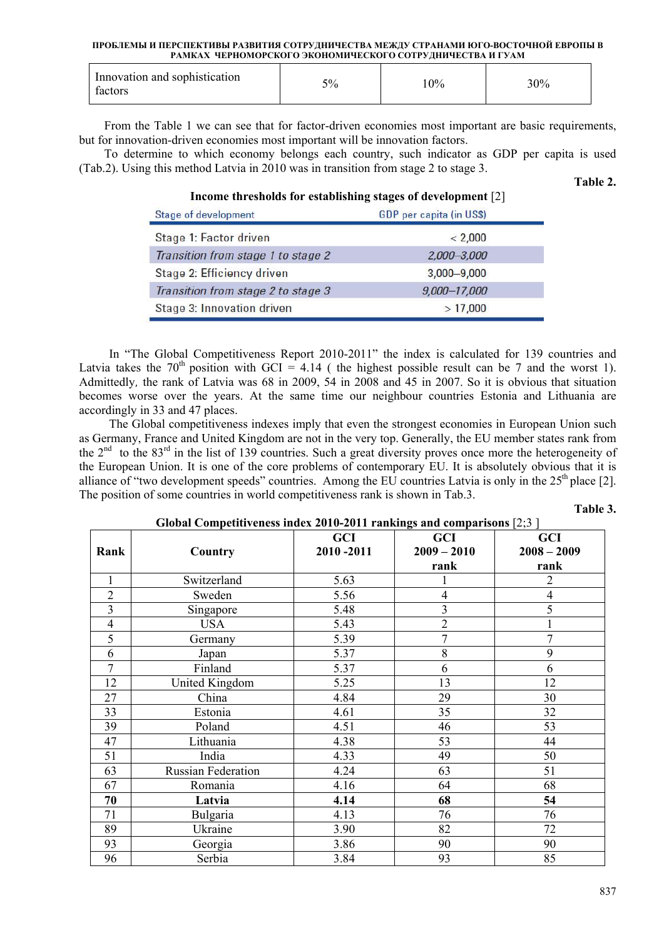| Innovation and sophistication<br>factors | 5% | 10% | 30% |
|------------------------------------------|----|-----|-----|
|------------------------------------------|----|-----|-----|

From the Table 1 we can see that for factor-driven economies most important are basic requirements, but for innovation-driven economies most important will be innovation factors.

To determine to which economy belongs each country, such indicator as GDP per capita is used (Tab.2). Using this method Latvia in 2010 was in transition from stage 2 to stage 3.

#### **Table 2.**

## **Income thresholds for establishing stages of development** [2]

| Stage of development               | <b>GDP</b> per capita (in US\$) |  |
|------------------------------------|---------------------------------|--|
| Stage 1: Factor driven             | < 2,000                         |  |
| Transition from stage 1 to stage 2 | 2,000-3,000                     |  |
| Stage 2: Efficiency driven         | $3,000 - 9,000$                 |  |
| Transition from stage 2 to stage 3 | $9,000 - 17,000$                |  |
| Stage 3: Innovation driven         | >17,000                         |  |

 In "The Global Competitiveness Report 2010-2011" the index is calculated for 139 countries and Latvia takes the  $70<sup>th</sup>$  position with GCI = 4.14 ( the highest possible result can be 7 and the worst 1). Admittedly, the rank of Latvia was 68 in 2009, 54 in 2008 and 45 in 2007. So it is obvious that situation becomes worse over the years. At the same time our neighbour countries Estonia and Lithuania are accordingly in 33 and 47 places.

 The Global competitiveness indexes imply that even the strongest economies in European Union such as Germany, France and United Kingdom are not in the very top. Generally, the EU member states rank from the  $2^{nd}$  to the  $83^{rd}$  in the list of 139 countries. Such a great diversity proves once more the heterogeneity of the European Union. It is one of the core problems of contemporary EU. It is absolutely obvious that it is alliance of "two development speeds" countries. Among the EU countries Latvia is only in the  $25<sup>th</sup>$  place [2]. The position of some countries in world competitiveness rank is shown in Tab.3.

**Table 3.** 

## **Global Competitiveness index 2010-2011 rankings and comparisons** [2;3 ]

|                |                           | <b>GCI</b> | <b>GCI</b>     | GCI            |
|----------------|---------------------------|------------|----------------|----------------|
| Rank           | Country                   | 2010-2011  | $2009 - 2010$  | $2008 - 2009$  |
|                |                           |            | rank           | rank           |
| 1              | Switzerland               | 5.63       |                | $\overline{2}$ |
| $\overline{2}$ | Sweden                    | 5.56       | 4              | $\overline{4}$ |
| $\overline{3}$ | Singapore                 | 5.48       | 3              | 5              |
| $\overline{4}$ | <b>USA</b>                | 5.43       | $\overline{2}$ |                |
| 5              | Germany                   | 5.39       | $\overline{7}$ | 7              |
| 6              | Japan                     | 5.37       | 8              | 9              |
| $\overline{7}$ | Finland                   | 5.37       | 6              | 6              |
| 12             | <b>United Kingdom</b>     | 5.25       | 13             | 12             |
| 27             | China                     | 4.84       | 29             | 30             |
| 33             | Estonia                   | 4.61       | 35             | 32             |
| 39             | Poland                    | 4.51       | 46             | 53             |
| 47             | Lithuania                 | 4.38       | 53             | 44             |
| 51             | India                     | 4.33       | 49             | 50             |
| 63             | <b>Russian Federation</b> | 4.24       | 63             | 51             |
| 67             | Romania                   | 4.16       | 64             | 68             |
| 70             | Latvia                    | 4.14       | 68             | 54             |
| 71             | Bulgaria                  | 4.13       | 76             | 76             |
| 89             | Ukraine                   | 3.90       | 82             | 72             |
| 93             | Georgia                   | 3.86       | 90             | 90             |
| 96             | Serbia                    | 3.84       | 93             | 85             |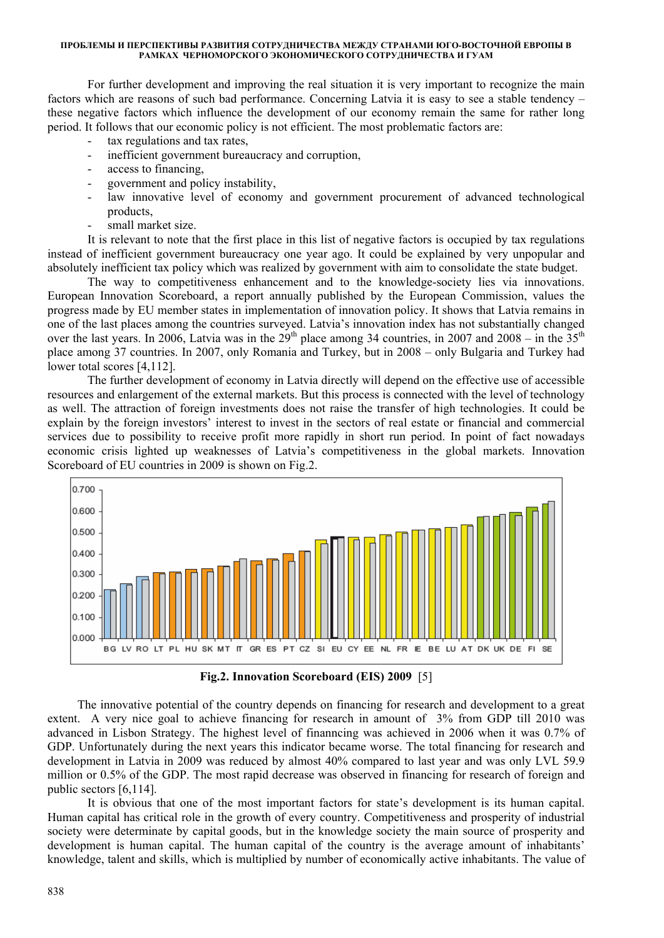For further development and improving the real situation it is very important to recognize the main factors which are reasons of such bad performance. Concerning Latvia it is easy to see a stable tendency – these negative factors which influence the development of our economy remain the same for rather long period. It follows that our economic policy is not efficient. The most problematic factors are:

- tax regulations and tax rates,
- inefficient government bureaucracy and corruption,
- access to financing.
- government and policy instability,
- law innovative level of economy and government procurement of advanced technological products,
- small market size.

It is relevant to note that the first place in this list of negative factors is occupied by tax regulations instead of inefficient government bureaucracy one year ago. It could be explained by very unpopular and absolutely inefficient tax policy which was realized by government with aim to consolidate the state budget.

The way to competitiveness enhancement and to the knowledge-society lies via innovations. European Innovation Scoreboard, a report annually published by the European Commission, values the progress made by EU member states in implementation of innovation policy. It shows that Latvia remains in one of the last places among the countries surveyed. Latvia's innovation index has not substantially changed over the last years. In 2006, Latvia was in the 29<sup>th</sup> place among 34 countries, in 2007 and 2008 – in the 35<sup>th</sup> place among 37 countries. In 2007, only Romania and Turkey, but in 2008 – only Bulgaria and Turkey had lower total scores [4,112].

The further development of economy in Latvia directly will depend on the effective use of accessible resources and enlargement of the external markets. But this process is connected with the level of technology as well. The attraction of foreign investments does not raise the transfer of high technologies. It could be explain by the foreign investors' interest to invest in the sectors of real estate or financial and commercial services due to possibility to receive profit more rapidly in short run period. In point of fact nowadays economic crisis lighted up weaknesses of Latvia's competitiveness in the global markets. Innovation Scoreboard of EU countries in 2009 is shown on Fig.2.



**Fig.2. Innovation Scoreboard (EIS) 2009** [5]

 The innovative potential of the country depends on financing for research and development to a great extent. A very nice goal to achieve financing for research in amount of 3% from GDP till 2010 was advanced in Lisbon Strategy. The highest level of finanncing was achieved in 2006 when it was 0.7% of GDP. Unfortunately during the next years this indicator became worse. The total financing for research and development in Latvia in 2009 was reduced by almost 40% compared to last year and was only LVL 59.9 million or 0.5% of the GDP. The most rapid decrease was observed in financing for research of foreign and public sectors [6,114].

It is obvious that one of the most important factors for state's development is its human capital. Human capital has critical role in the growth of every country. Competitiveness and prosperity of industrial society were determinate by capital goods, but in the knowledge society the main source of prosperity and development is human capital. The human capital of the country is the average amount of inhabitants' knowledge, talent and skills, which is multiplied by number of economically active inhabitants. The value of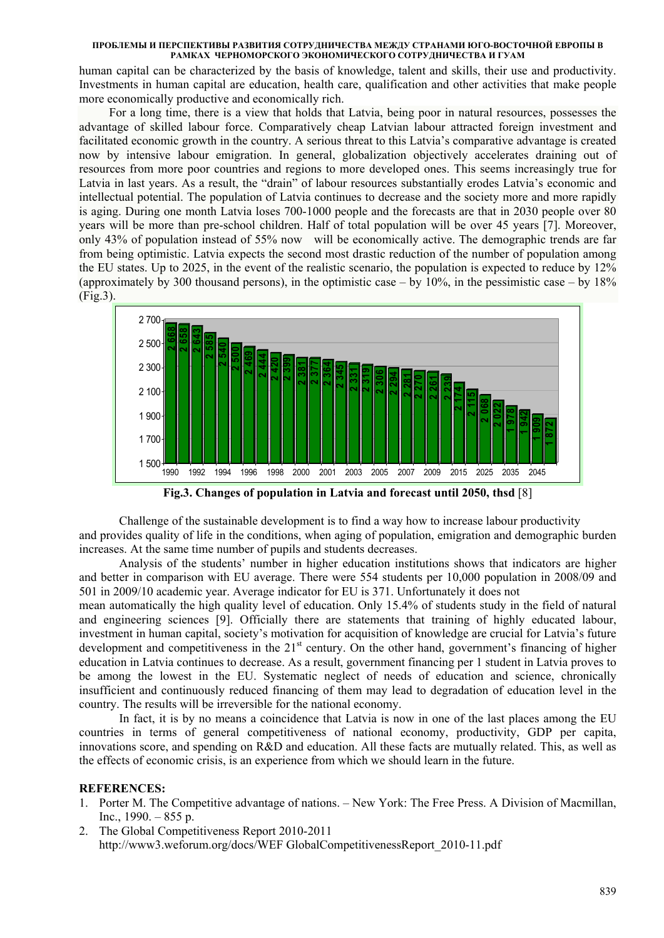human capital can be characterized by the basis of knowledge, talent and skills, their use and productivity. Investments in human capital are education, health care, qualification and other activities that make people more economically productive and economically rich.

For a long time, there is a view that holds that Latvia, being poor in natural resources, possesses the advantage of skilled labour force. Comparatively cheap Latvian labour attracted foreign investment and facilitated economic growth in the country. A serious threat to this Latvia's comparative advantage is created now by intensive labour emigration. In general, globalization objectively accelerates draining out of resources from more poor countries and regions to more developed ones. This seems increasingly true for Latvia in last years. As a result, the "drain" of labour resources substantially erodes Latvia's economic and intellectual potential. The population of Latvia continues to decrease and the society more and more rapidly is aging. During one month Latvia loses 700-1000 people and the forecasts are that in 2030 people over 80 years will be more than pre-school children. Half of total population will be over 45 years [7]. Moreover, only 43% of population instead of 55% now will be economically active. The demographic trends are far from being optimistic. Latvia expects the second most drastic reduction of the number of population among the EU states. Up to 2025, in the event of the realistic scenario, the population is expected to reduce by 12% (approximately by 300 thousand persons), in the optimistic case – by  $10\%$ , in the pessimistic case – by  $18\%$ (Fig.3).



**Fig.3. Changes of population in Latvia and forecast until 2050, thsd** [8]

 Challenge of the sustainable development is to find a way how to increase labour productivity and provides quality of life in the conditions, when aging of population, emigration and demographic burden increases. At the same time number of pupils and students decreases.

 Analysis of the students' number in higher education institutions shows that indicators are higher and better in comparison with EU average. There were 554 students per 10,000 population in 2008/09 and 501 in 2009/10 academic year. Average indicator for EU is 371. Unfortunately it does not

mean automatically the high quality level of education. Only 15.4% of students study in the field of natural and engineering sciences [9]. Officially there are statements that training of highly educated labour, investment in human capital, society's motivation for acquisition of knowledge are crucial for Latvia's future development and competitiveness in the  $21<sup>st</sup>$  century. On the other hand, government's financing of higher education in Latvia continues to decrease. As a result, government financing per 1 student in Latvia proves to be among the lowest in the EU. Systematic neglect of needs of education and science, chronically insufficient and continuously reduced financing of them may lead to degradation of education level in the country. The results will be irreversible for the national economy.

In fact, it is by no means a coincidence that Latvia is now in one of the last places among the EU countries in terms of general competitiveness of national economy, productivity, GDP per capita, innovations score, and spending on R&D and education. All these facts are mutually related. This, as well as the effects of economic crisis, is an experience from which we should learn in the future.

# **REFERENCES:**

- 1. Porter M. The Competitive advantage of nations. New York: The Free Press. A Division of Macmillan, Inc.,  $1990. - 855$  p.
- 2. The Global Competitiveness Report 2010-2011 http://www3.weforum.org/docs/WEF GlobalCompetitivenessReport\_2010-11.pdf